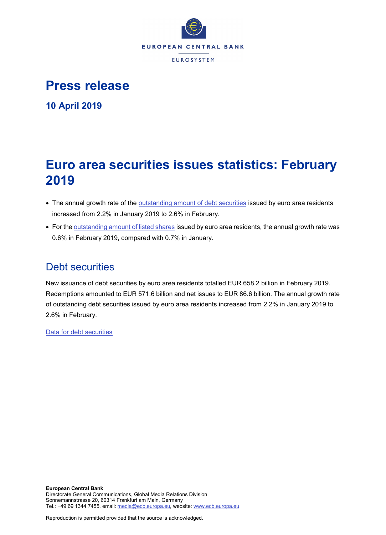

# **Press release**

**10 April 2019**

# **Euro area securities issues statistics: February 2019**

- The annual growth rate of the [outstanding amount of debt securities](http://sdw.ecb.europa.eu/quickview.do?SERIES_KEY=130.SEC.M.I8.1000.F33000.N.I.Z01.A.Z) issued by euro area residents increased from 2.2% in January 2019 to 2.6% in February.
- For the [outstanding amount of listed shares](http://sdw.ecb.europa.eu/quickview.do?SERIES_KEY=130.SEC.M.I8.1000.F51100.M.I.Z01.A.Z) issued by euro area residents, the annual growth rate was 0.6% in February 2019, compared with 0.7% in January.

# Debt securities

New issuance of debt securities by euro area residents totalled EUR 658.2 billion in February 2019. Redemptions amounted to EUR 571.6 billion and net issues to EUR 86.6 billion. The annual growth rate of outstanding debt securities issued by euro area residents increased from 2.2% in January 2019 to 2.6% in February.

[Data for debt securities](http://sdw.ecb.europa.eu/browseSelection.do?type=series&q=SEC.M.I8.1000.F33000.N.2.Z01.E.Z%2c+SEC.M.I8.1000.F33000.N.3.Z01.E.Z%2c+SEC.M.I8.1000.F33000.N.4.Z01.E.Z%2c+SEC.M.I8.1000.F33000.N.I.Z01.A.Z&node=SEARCHRESULTS&ec=&oc=&rc=&cv=&pb=&dc=&df=)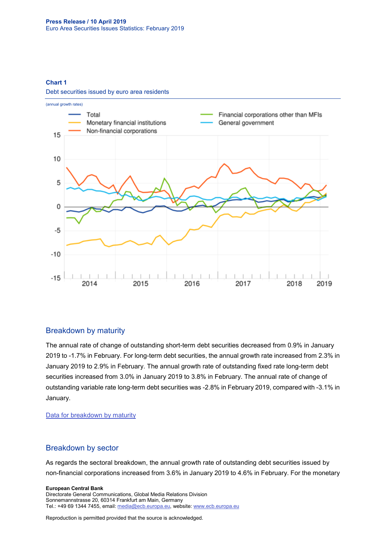**Chart 1**

Debt securities issued by euro area residents



### Breakdown by maturity

The annual rate of change of outstanding short-term debt securities decreased from 0.9% in January 2019 to -1.7% in February. For long-term debt securities, the annual growth rate increased from 2.3% in January 2019 to 2.9% in February. The annual growth rate of outstanding fixed rate long-term debt securities increased from 3.0% in January 2019 to 3.8% in February. The annual rate of change of outstanding variable rate long-term debt securities was -2.8% in February 2019, compared with -3.1% in January.

#### [Data for breakdown by maturity](http://sdw.ecb.europa.eu/browseSelection.do?type=series&q=SEC.M.I8.1000.F33100.N.I.Z01.A.Z%2c+SEC.M.I8.1000.F33200.N.I.Z01.A.Z%2c+SEC.M.I8.1000.F33201.N.I.Z01.A.Z%2c+SEC.M.I8.1000.F33202.N.I.Z01.A.Z&node=SEARCHRESULTS&ec=&oc=&rc=&cv=&pb=&dc=&df=)

### Breakdown by sector

As regards the sectoral breakdown, the annual growth rate of outstanding debt securities issued by non-financial corporations increased from 3.6% in January 2019 to 4.6% in February. For the monetary

#### **European Central Bank**

Directorate General Communications, Global Media Relations Division Sonnemannstrasse 20, 60314 Frankfurt am Main, Germany Tel.: +49 69 1344 7455, email[: media@ecb.europa.eu,](mailto:media@ecb.europa.eu) website: www.ecb.europa.eu

Reproduction is permitted provided that the source is acknowledged.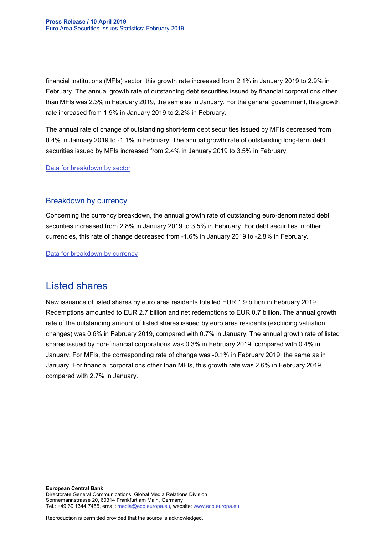financial institutions (MFIs) sector, this growth rate increased from 2.1% in January 2019 to 2.9% in February. The annual growth rate of outstanding debt securities issued by financial corporations other than MFIs was 2.3% in February 2019, the same as in January. For the general government, this growth rate increased from 1.9% in January 2019 to 2.2% in February.

The annual rate of change of outstanding short-term debt securities issued by MFIs decreased from 0.4% in January 2019 to -1.1% in February. The annual growth rate of outstanding long-term debt securities issued by MFIs increased from 2.4% in January 2019 to 3.5% in February.

[Data for breakdown by sector](http://sdw.ecb.europa.eu/browseSelection.do?type=series&q=SEC.M.I8.1100.F33000.N.I.Z01.A.Z%2cSEC.M.I8.1220.F33000.N.I.Z01.A.Z%2cSEC.M.I8.1235.F33000.N.I.Z01.A.Z%2cSEC.M.I8.1300.F33000.N.I.Z01.A.Z%2cSEC.M.I8.1220.F33100.N.I.Z01.A.Z%2cSEC.M.I8.1220.F33200.N.I.Z01.A.Z&node=SEARCHRESULTS&ec=&oc=&rc=&cv=&pb=&dc=&df=)

### Breakdown by currency

Concerning the currency breakdown, the annual growth rate of outstanding euro-denominated debt securities increased from 2.8% in January 2019 to 3.5% in February. For debt securities in other currencies, this rate of change decreased from -1.6% in January 2019 to -2.8% in February.

[Data for breakdown by currency](http://sdw.ecb.europa.eu/browseSelection.do?type=series&q=SEC.M.I8.1000.F33000.N.I.EUR.A.Z%2cSEC.M.I8.1000.F33000.N.I.Z06.A.Z&node=SEARCHRESULTS&ec=&oc=&rc=&cv=&pb=&dc=&df=)

## Listed shares

New issuance of listed shares by euro area residents totalled EUR 1.9 billion in February 2019. Redemptions amounted to EUR 2.7 billion and net redemptions to EUR 0.7 billion. The annual growth rate of the outstanding amount of listed shares issued by euro area residents (excluding valuation changes) was 0.6% in February 2019, compared with 0.7% in January. The annual growth rate of listed shares issued by non-financial corporations was 0.3% in February 2019, compared with 0.4% in January. For MFIs, the corresponding rate of change was -0.1% in February 2019, the same as in January. For financial corporations other than MFIs, this growth rate was 2.6% in February 2019, compared with 2.7% in January.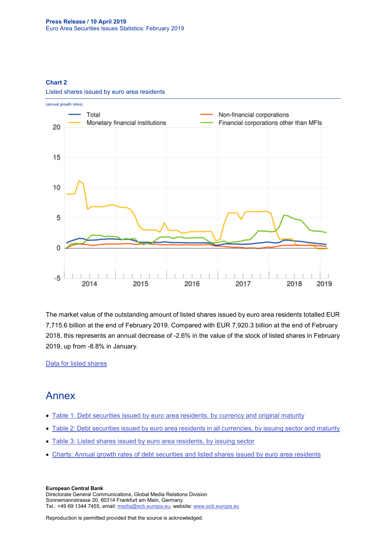#### **Chart 2**



Listed shares issued by euro area residents

The market value of the outstanding amount of listed shares issued by euro area residents totalled EUR 7,715.6 billion at the end of February 2019. Compared with EUR 7,920.3 billion at the end of February 2018, this represents an annual decrease of -2.6% in the value of the stock of listed shares in February 2019, up from -8.8% in January.

[Data for listed shares](http://sdw.ecb.europa.eu/browseSelection.do?type=series&q=SEC.M.I8.1000.F51100.M.2.Z01.E.Z%2cSEC.M.I8.1000.F51100.M.3.Z01.E.Z%2cSEC.M.I8.1000.F51100.M.4.Z01.E.Z%2cSEC.M.I8.1000.F51100.M.I.Z01.A.Z%2cSEC.M.I8.1100.F51100.M.I.Z01.A.Z%2cSEC.M.I8.1220.F51100.M.I.Z01.A.Z%2cSEC.M.I8.1235.F51100.M.I.Z01.A.Z%2cSEC.M.I8.1000.F51100.M.1.Z01.E.Z&node=SEARCHRESULTS&ec=&oc=&rc=&cv=&pb=&dc=&df=)

## Annex

- [Table 1: Debt securities issued by euro area residents, by currency and original maturity](http://sdw.ecb.europa.eu/web/generator/prl/pr_sec_t01_201902.pdf)
- [Table 2: Debt securities issued by euro area residents in all currencies, by issuing sector and maturity](http://sdw.ecb.europa.eu/web/generator/prl/pr_sec_t02_201902.pdf)
- [Table 3: Listed shares issued by euro area residents, by issuing sector](http://sdw.ecb.europa.eu/web/generator/prl/pr_sec_t03_201902.pdf)
- [Charts: Annual growth rates of debt securities and listed shares issued by euro area residents](http://sdw.ecb.europa.eu/web/generator/prl/pr_sec_c01_201902.pdf)

**European Central Bank** Directorate General Communications, Global Media Relations Division Sonnemannstrasse 20, 60314 Frankfurt am Main, Germany Tel.: +49 69 1344 7455, email[: media@ecb.europa.eu,](mailto:media@ecb.europa.eu) website: www.ecb.europa.eu

Reproduction is permitted provided that the source is acknowledged.